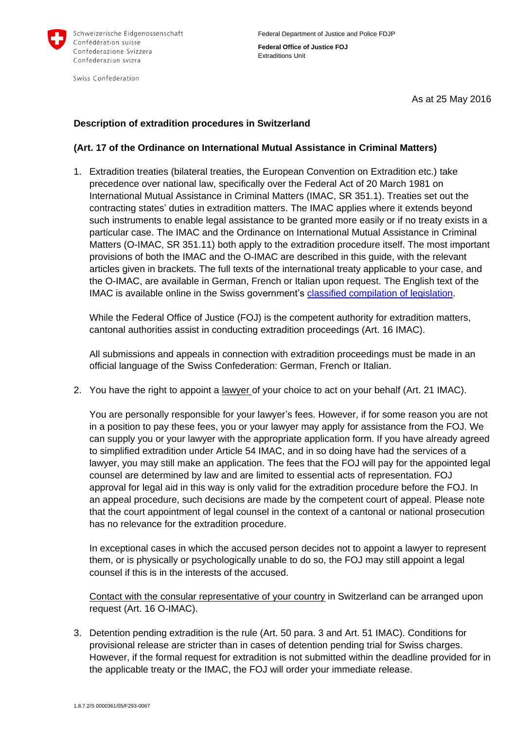

Swiss Confederation

**Federal Office of Justice FOJ** Extraditions Unit

As at 25 May 2016

## **Description of extradition procedures in Switzerland**

## **(Art. 17 of the Ordinance on International Mutual Assistance in Criminal Matters)**

1. Extradition treaties (bilateral treaties, the European Convention on Extradition etc.) take precedence over national law, specifically over the Federal Act of 20 March 1981 on International Mutual Assistance in Criminal Matters (IMAC, SR 351.1). Treaties set out the contracting states' duties in extradition matters. The IMAC applies where it extends beyond such instruments to enable legal assistance to be granted more easily or if no treaty exists in a particular case. The IMAC and the Ordinance on International Mutual Assistance in Criminal Matters (O-IMAC, SR 351.11) both apply to the extradition procedure itself. The most important provisions of both the IMAC and the O-IMAC are described in this guide, with the relevant articles given in brackets. The full texts of the international treaty applicable to your case, and the O-IMAC, are available in German, French or Italian upon request. The English text of the IMAC is available online in the Swiss government's [classified compilation of legislation.](https://www.admin.ch/opc/en/classified-compilation/19810037/index.html)

While the Federal Office of Justice (FOJ) is the competent authority for extradition matters, cantonal authorities assist in conducting extradition proceedings (Art. 16 IMAC).

All submissions and appeals in connection with extradition proceedings must be made in an official language of the Swiss Confederation: German, French or Italian.

2. You have the right to appoint a <u>lawyer</u> of your choice to act on your behalf (Art. 21 IMAC).

You are personally responsible for your lawyer's fees. However, if for some reason you are not in a position to pay these fees, you or your lawyer may apply for assistance from the FOJ. We can supply you or your lawyer with the appropriate application form. If you have already agreed to simplified extradition under Article 54 IMAC, and in so doing have had the services of a lawyer, you may still make an application. The fees that the FOJ will pay for the appointed legal counsel are determined by law and are limited to essential acts of representation. FOJ approval for legal aid in this way is only valid for the extradition procedure before the FOJ. In an appeal procedure, such decisions are made by the competent court of appeal. Please note that the court appointment of legal counsel in the context of a cantonal or national prosecution has no relevance for the extradition procedure.

In exceptional cases in which the accused person decides not to appoint a lawyer to represent them, or is physically or psychologically unable to do so, the FOJ may still appoint a legal counsel if this is in the interests of the accused.

Contact with the consular representative of your country in Switzerland can be arranged upon request (Art. 16 O-IMAC).

3. Detention pending extradition is the rule (Art. 50 para. 3 and Art. 51 IMAC). Conditions for provisional release are stricter than in cases of detention pending trial for Swiss charges. However, if the formal request for extradition is not submitted within the deadline provided for in the applicable treaty or the IMAC, the FOJ will order your immediate release.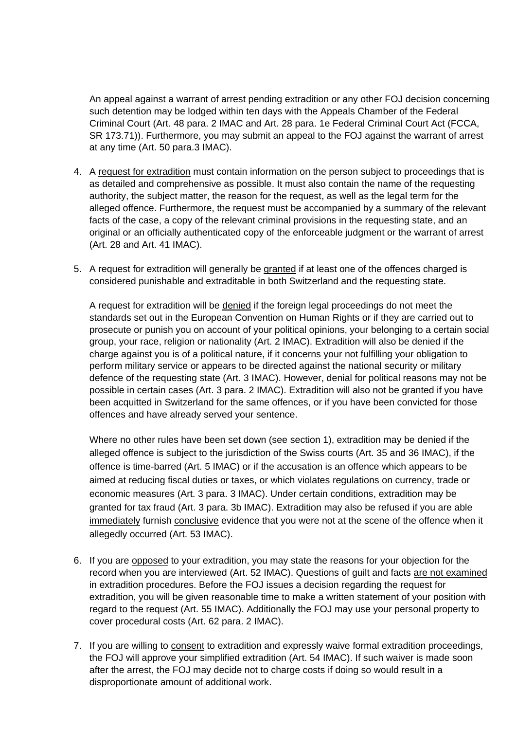An appeal against a warrant of arrest pending extradition or any other FOJ decision concerning such detention may be lodged within ten days with the Appeals Chamber of the Federal Criminal Court (Art. 48 para. 2 IMAC and Art. 28 para. 1e Federal Criminal Court Act (FCCA, SR 173.71)). Furthermore, you may submit an appeal to the FOJ against the warrant of arrest at any time (Art. 50 para.3 IMAC).

- 4. A request for extradition must contain information on the person subject to proceedings that is as detailed and comprehensive as possible. It must also contain the name of the requesting authority, the subject matter, the reason for the request, as well as the legal term for the alleged offence. Furthermore, the request must be accompanied by a summary of the relevant facts of the case, a copy of the relevant criminal provisions in the requesting state, and an original or an officially authenticated copy of the enforceable judgment or the warrant of arrest (Art. 28 and Art. 41 IMAC).
- 5. A request for extradition will generally be granted if at least one of the offences charged is considered punishable and extraditable in both Switzerland and the requesting state.

A request for extradition will be denied if the foreign legal proceedings do not meet the standards set out in the European Convention on Human Rights or if they are carried out to prosecute or punish you on account of your political opinions, your belonging to a certain social group, your race, religion or nationality (Art. 2 IMAC). Extradition will also be denied if the charge against you is of a political nature, if it concerns your not fulfilling your obligation to perform military service or appears to be directed against the national security or military defence of the requesting state (Art. 3 IMAC). However, denial for political reasons may not be possible in certain cases (Art. 3 para. 2 IMAC). Extradition will also not be granted if you have been acquitted in Switzerland for the same offences, or if you have been convicted for those offences and have already served your sentence.

Where no other rules have been set down (see section 1), extradition may be denied if the alleged offence is subject to the jurisdiction of the Swiss courts (Art. 35 and 36 IMAC), if the offence is time-barred (Art. 5 IMAC) or if the accusation is an offence which appears to be aimed at reducing fiscal duties or taxes, or which violates regulations on currency, trade or economic measures (Art. 3 para. 3 IMAC). Under certain conditions, extradition may be granted for tax fraud (Art. 3 para. 3b IMAC). Extradition may also be refused if you are able immediately furnish conclusive evidence that you were not at the scene of the offence when it allegedly occurred (Art. 53 IMAC).

- 6. If you are opposed to your extradition, you may state the reasons for your objection for the record when you are interviewed (Art. 52 IMAC). Questions of guilt and facts are not examined in extradition procedures. Before the FOJ issues a decision regarding the request for extradition, you will be given reasonable time to make a written statement of your position with regard to the request (Art. 55 IMAC). Additionally the FOJ may use your personal property to cover procedural costs (Art. 62 para. 2 IMAC).
- 7. If you are willing to consent to extradition and expressly waive formal extradition proceedings, the FOJ will approve your simplified extradition (Art. 54 IMAC). If such waiver is made soon after the arrest, the FOJ may decide not to charge costs if doing so would result in a disproportionate amount of additional work.